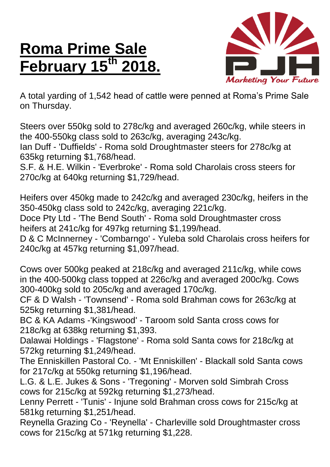## **Roma Prime Sale February 15 th 2018.**



A total yarding of 1,542 head of cattle were penned at Roma's Prime Sale on Thursday.

Steers over 550kg sold to 278c/kg and averaged 260c/kg, while steers in the 400-550kg class sold to 263c/kg, averaging 243c/kg.

Ian Duff - 'Duffields' - Roma sold Droughtmaster steers for 278c/kg at 635kg returning \$1,768/head.

S.F. & H.E. Wilkin - 'Everbroke' - Roma sold Charolais cross steers for 270c/kg at 640kg returning \$1,729/head.

Heifers over 450kg made to 242c/kg and averaged 230c/kg, heifers in the 350-450kg class sold to 242c/kg, averaging 221c/kg.

Doce Pty Ltd - 'The Bend South' - Roma sold Droughtmaster cross heifers at 241c/kg for 497kg returning \$1,199/head.

D & C McInnerney - 'Combarngo' - Yuleba sold Charolais cross heifers for 240c/kg at 457kg returning \$1,097/head.

Cows over 500kg peaked at 218c/kg and averaged 211c/kg, while cows in the 400-500kg class topped at 226c/kg and averaged 200c/kg. Cows 300-400kg sold to 205c/kg and averaged 170c/kg.

CF & D Walsh - 'Townsend' - Roma sold Brahman cows for 263c/kg at 525kg returning \$1,381/head.

BC & KA Adams -'Kingswood' - Taroom sold Santa cross cows for 218c/kg at 638kg returning \$1,393.

Dalawai Holdings - 'Flagstone' - Roma sold Santa cows for 218c/kg at 572kg returning \$1,249/head.

The Enniskillen Pastoral Co. - 'Mt Enniskillen' - Blackall sold Santa cows for 217c/kg at 550kg returning \$1,196/head.

L.G. & L.E. Jukes & Sons - 'Tregoning' - Morven sold Simbrah Cross cows for 215c/kg at 592kg returning \$1,273/head.

Lenny Perrett - 'Tunis' - Injune sold Brahman cross cows for 215c/kg at 581kg returning \$1,251/head.

Reynella Grazing Co - 'Reynella' - Charleville sold Droughtmaster cross cows for 215c/kg at 571kg returning \$1,228.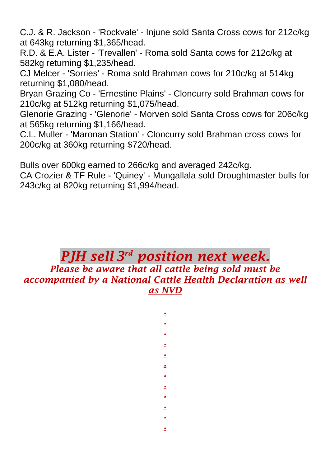C.J. & R. Jackson - 'Rockvale' - Injune sold Santa Cross cows for 212c/kg at 643kg returning \$1,365/head.

R.D. & E.A. Lister - 'Trevallen' - Roma sold Santa cows for 212c/kg at 582kg returning \$1,235/head.

CJ Melcer - 'Sorries' - Roma sold Brahman cows for 210c/kg at 514kg returning \$1,080/head.

Bryan Grazing Co - 'Ernestine Plains' - Cloncurry sold Brahman cows for 210c/kg at 512kg returning \$1,075/head.

Glenorie Grazing - 'Glenorie' - Morven sold Santa Cross cows for 206c/kg at 565kg returning \$1,166/head.

C.L. Muller - 'Maronan Station' - Cloncurry sold Brahman cross cows for 200c/kg at 360kg returning \$720/head.

Bulls over 600kg earned to 266c/kg and averaged 242c/kg.

CA Crozier & TF Rule - 'Quiney' - Mungallala sold Droughtmaster bulls for 243c/kg at 820kg returning \$1,994/head.

## *PJH sell 3 rd position next week. Please be aware that all cattle being sold must be accompanied by a National Cattle Health Declaration as well as NVD*

*. . . . . . . . . . . .*